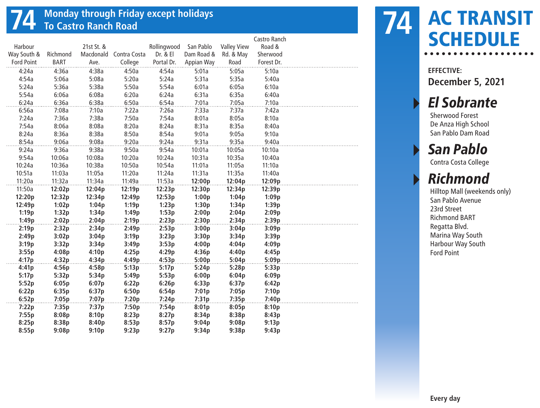#### **74 Monday through Friday except holidays To Castro Ranch Road**

|                   |             |            |                        |             |            |                    | Castro Ranch |  |
|-------------------|-------------|------------|------------------------|-------------|------------|--------------------|--------------|--|
| Harbour           |             | 21st St. & |                        | Rollingwood | San Pablo  | <b>Valley View</b> | Road &       |  |
| Way South &       | Richmond    |            | Macdonald Contra Costa | Dr. & El    | Dam Road & | Rd. & May          | Sherwood     |  |
| <b>Ford Point</b> | <b>BART</b> | Ave.       | College                | Portal Dr.  | Appian Way | Road               | Forest Dr.   |  |
| 4:24a             | 4:36a       | 4:38a      | 4:50a                  | 4:54a       | 5:01a      | 5:05a              | 5:10a        |  |
| 4:54a             | 5:06a       | 5:08a      | 5:20a                  | 5:24a       | 5:31a      | 5:35a              | 5:40a        |  |
| 5:24a             | 5:36a       | 5:38a      | 5:50a                  | 5:54a       | 6:01a      | 6:05a              | 6:10a        |  |
| 5:54a             | 6:06a       | 6:08a      | 6:20a                  | 6:24a       | 6:31a      | 6:35a              | 6:40a        |  |
| 6:24a             | 6:36a       | 6:38a      | 6:50a                  | 6:54a       | 7:01a      | 7:05a              | 7:10a        |  |
| 6:56a             | 7:08a       | 7:10a      | 7:22a                  | 7:26a       | 7:33a      | 7:37a              | 7:42a        |  |
| 7:24a             | 7:36a       | 7:38a      | 7:50a                  | 7:54a       | 8:01a      | 8:05a              | 8:10a        |  |
| 7:54a             | 8:06a       | 8:08a      | 8:20a                  | 8:24a       | 8:31a      | 8:35a              | 8:40a        |  |
| 8:24a             | 8:36a       | 8:38a      | 8:50a                  | 8:54a       | 9:01a      | 9:05a              | 9:10a        |  |
| 8:54a             | 9:06a       | 9:08a      | 9:20a                  | 9:24a       | 9:31a      | 9:35a              | 9:40a        |  |
| 9:24a             | 9:36a       | 9:38a      | 9:50a                  | 9:54a       | 10:01a     | 10:05a             | 10:10a       |  |
| 9:54a             | 10:06a      | 10:08a     | 10:20a                 | 10:24a      | 10:31a     | 10:35a             | 10:40a       |  |
| 10:24a            | 10:36a      | 10:38a     | 10:50a                 | 10:54a      | 11:01a     | 11:05a             | 11:10a       |  |
| 10:51a            | 11:03a      | 11:05a     | 11:20a                 | 11:24a      | 11:31a     | 11:35a             | 11:40a       |  |
| 11:20a            | 11:32a      | 11:34a     | 11:49a                 | 11:53a      | 12:00p     | 12:04p             | 12:09p       |  |
| 11:50a            | 12:02p      | 12:04p     | 12:19p                 | 12:23p      | 12:30p     | 12:34p             | 12:39p       |  |
| 12:20p            | 12:32p      | 12:34p     | 12:49p                 | 12:53p      | 1:00p      | 1:04p              | 1:09p        |  |
| 12:49p            | 1:02p       | 1:04p      | 1:19p                  | 1:23p       | 1:30p      | 1:34p              | 1:39p        |  |
| 1:19p             | 1:32p       | 1:34p      | 1:49p                  | 1:53p       | 2:00p      | 2:04p              | 2:09p        |  |
| 1:49p             | 2:02p       | 2:04p      | 2:19p                  | 2:23p       | 2:30p      | 2:34p              | 2:39p        |  |
| 2:19p             | 2:32p       | 2:34p      | 2:49p                  | 2:53p       | 3:00p      | 3:04p              | 3:09p        |  |
| 2:49p             | 3:02p       | 3:04p      | 3:19p                  | 3:23p       | 3:30p      | 3:34p              | 3:39p        |  |
| 3:19p             | 3:32p       | 3:34p      | 3:49p                  | 3:53p       | 4:00p      | 4:04p              | 4:09p        |  |
| 3:55p             | 4:08p       | 4:10p      | 4:25p                  | 4:29p       | 4:36p      | 4:40p              | 4:45p        |  |
| 4:17p             | 4:32p       | 4:34p      | 4:49p                  | 4:53p       | 5:00p      | 5:04p              | 5:09p        |  |
| 4:41p             | 4:56p       | 4:58p      | 5:13p                  | 5:17p       | 5:24p      | 5:28p              | 5:33p        |  |
| 5:17p             | 5:32p       | 5:34p      | 5:49p                  | 5:53p       | 6:00p      | 6:04p              | 6:09p        |  |
| 5:52p             | 6:05p       | 6:07p      | 6:22p                  | 6:26p       | 6:33p      | 6:37p              | 6:42p        |  |
| 6:22p             | 6:35p       | 6:37p      | 6:50p                  | 6:54p       | 7:01p      | 7:05p              | 7:10p        |  |
| 6:52p             | 7:05p       | 7:07p      | 7:20p                  | 7:24p       | 7:31p      | 7:35p              | 7:40p        |  |
| 7:22p             | 7:35p       | 7:37p      | 7:50p                  | 7:54p       | 8:01p      | 8:05p              | 8:10p        |  |
| 7:55p             | 8:08p       | 8:10p      | 8:23p                  | 8:27p       | 8:34p      | 8:38p              | 8:43p        |  |
| 8:25p             | 8:38p       | 8:40p      | 8:53p                  | 8:57p       | 9:04p      | 9:08p              | 9:13p        |  |
| 8:55p             | 9:08p       | 9:10p      | 9:23p                  | 9:27p       | 9:34p      | 9:38p              | 9:43p        |  |

# AC TRANSIT SCHEDULE **74**

**EFFECTIVE: December 5, 2021**

#### **El Sobrante**

Sherwood Forest De Anza High School San Pablo Dam Road

### San Pablo

Contra Costa College

#### **Richmond**

Hilltop Mall (weekends only) San Pablo Avenue 23rd Street Richmond BART Regatta Blvd. Marina Way South Harbour Way South Ford Point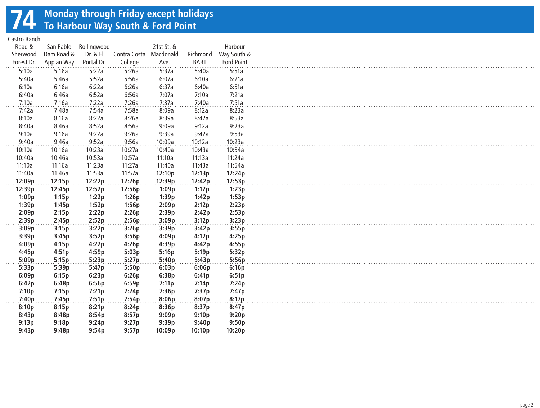## **74 Monday through Friday except holidays To Harbour Way South & Ford Point**

Castro Ranch

| Road &     | San Pablo  | Rollingwood |              | 21st St. & |             | Harbour           |
|------------|------------|-------------|--------------|------------|-------------|-------------------|
| Sherwood   | Dam Road & | Dr. & El    | Contra Costa | Macdonald  | Richmond    | Way South &       |
| Forest Dr. | Appian Way | Portal Dr.  | College      | Ave.       | <b>BART</b> | <b>Ford Point</b> |
| 5:10a      | 5:16a      | 5:22a       | 5:26a        | 5:37a      | 5:40a       | 5:51a             |
| 5:40a      | 5:46a      | 5:52a       | 5:56a        | 6:07a      | 6:10a       | 6:21a             |
| 6:10a      | 6:16a      | 6:22a       | 6:26a        | 6:37a      | 6:40a       | 6:51a             |
| 6:40a      | 6:46a      | 6:52a       | 6:56a        | 7:07a      | 7:10a       | 7:21a             |
| 7:10a      | 7:16a      | 7:22a       | 7:26a        | 7:37a      | 7:40a       | 7:51a             |
| 7:42a      | 7:48a      | 7:54a       | 7:58a        | 8:09a      | 8:12a       | 8:23a             |
| 8:10a      | 8:16a      | 8:22a       | 8:26a        | 8:39a      | 8:42a       | 8:53a             |
| 8:40a      | 8:46a      | 8:52a       | 8:56a        | 9:09a      | 9:12a       | 9:23a             |
| 9:10a      | 9:16a      | 9:22a       | 9:26a        | 9:39a      | 9:42a       | 9:53a             |
| 9:40a      | 9:46a      | 9:52a       | 9:56a        | 10:09a     | 10:12a      | 10:23a            |
| 10:10a     | 10:16a     | 10:23a      | 10:27a       | 10:40a     | 10:43a      | 10:54a            |
| 10:40a     | 10:46a     | 10:53a      | 10:57a       | 11:10a     | 11:13a      | 11:24a            |
| 11:10a     | 11:16a     | 11:23a      | 11:27a       | 11:40a     | 11:43a      | 11:54a            |
| 11:40a     | 11:46a     | 11:53a      | 11:57a       | 12:10p     | 12:13p      | 12:24p            |
| 12:09p     | 12:15p     | 12:22p      | 12:26p       | 12:39p     | 12:42p      | 12:53p            |
| 12:39p     | 12:45p     | 12:52p      | 12:56p       | 1:09p      | 1:12p       | 1:23p             |
| 1:09p      | 1:15p      | 1:22p       | 1:26p        | 1:39p      | 1:42p       | 1:53p             |
| 1:39p      | 1:45p      | 1:52p       | 1:56p        | 2:09p      | 2:12p       | 2:23p             |
| 2:09p      | 2:15p      | 2:22p       | 2:26p        | 2:39p      | 2:42p       | 2:53p             |
| 2:39p      | 2:45p      | 2:52p       | 2:56p        | 3:09p      | 3:12p       | 3:23p             |
| 3:09p      | 3:15p      | 3:22p       | 3:26p        | 3:39p      | 3:42p       | 3:55p             |
| 3:39p      | 3:45p      | 3:52p       | 3:56p        | 4:09p      | 4:12p       | 4:25p             |
| 4:09p      | 4:15p      | 4:22p       | 4:26p        | 4:39p      | 4:42p       | 4:55p             |
| 4:45p      | 4:51p      | 4:59p       | 5:03p        | 5:16p      | 5:19p       | 5:32p             |
| 5:09p      | 5:15p      | 5:23p       | 5:27p        | 5:40p      | 5:43p       | 5:56p             |
| 5:33p      | 5:39p      | 5:47p       | 5:50p        | 6:03p      | 6:06p       | 6:16p             |
| 6:09p      | 6:15p      | 6:23p       | 6:26p        | 6:38p      | 6:41p       | 6:51p             |
| 6:42p      | 6:48p      | 6:56p       | 6:59p        | 7:11p      | 7:14p       | 7:24p             |
| 7:10p      | 7:15p      | 7:21p       | 7:24p        | 7:36p      | 7:37p       | 7:47p             |
| 7:40p      | 7:45p      | 7:51p       | 7:54p        | 8:06p      | 8:07p       | 8:17p             |
| 8:10p      | 8:15p      | 8:21p       | 8:24p        | 8:36p      | 8:37p       | 8:47p             |
| 8:43p      | 8:48p      | 8:54p       | 8:57p        | 9:09p      | 9:10p       | 9:20p             |
| 9:13p      | 9:18p      | 9:24p       | 9:27p        | 9:39p      | 9:40p       | 9:50p             |
| 9:43p      | 9:48p      | 9:54p       | 9:57p        | 10:09p     | 10:10p      | 10:20p            |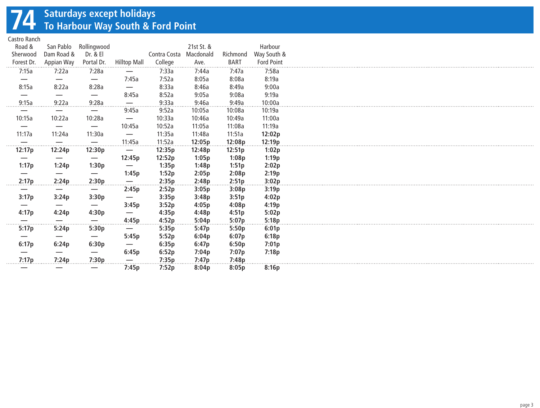## **74 Saturdays except holidays To Harbour Way South & Ford Point**

Castro Ranch

| Castro Italicii |            |                                 |                                 |              |            |             |                   |
|-----------------|------------|---------------------------------|---------------------------------|--------------|------------|-------------|-------------------|
| Road &          | San Pablo  | Rollingwood                     |                                 |              | 21st St. & |             | Harbour           |
| Sherwood        | Dam Road & | Dr. & El                        |                                 | Contra Costa | Macdonald  | Richmond    | Way South &       |
| Forest Dr.      | Appian Way | Portal Dr.                      | <b>Hilltop Mall</b>             | College      | Ave.       | <b>BART</b> | <b>Ford Point</b> |
| 7:15a           | 7:22a      | 7:28a                           |                                 | 7:33a        | .<br>7:44a | 7:47a       | 7:58a             |
|                 |            |                                 | 7:45a                           | 7:52a        | 8:05a      | 8:08a       | 8:19a             |
| 8:15a           | 8:22a      | 8:28a                           | $\overline{\phantom{0}}$        | 8:33a        | 8:46a      | 8:49a       | 9:00a             |
|                 |            | —                               | 8:45a                           | 8:52a        | 9:05a      | 9:08a       | 9:19a             |
| 9:15a           | 9:22a      | 9:28a                           | $\overline{\phantom{m}}$        | 9:33a        | 9:46a      | 9:49a       | 10:00a            |
|                 |            | —                               | 9:45a                           | 9:52a        | 10:05a     | 10:08a      | 10:19a            |
| 10:15a          | 10:22a     | 10:28a                          |                                 | 10:33a       | 10:46a     | 10:49a      | 11:00a            |
|                 |            |                                 | —                               |              |            |             | 11:19a            |
|                 | —          | $\hspace{0.1mm}-\hspace{0.1mm}$ | 10:45a                          | 10:52a       | 11:05a     | 11:08a      |                   |
| 11:17a          | 11:24a     | 11:30a                          |                                 | 11:35a       | 11:48a     | 11:51a      | 12:02p            |
| .               | .          |                                 | 11:45a                          | 11:52a       | 12:05p     | 12:08p      | 12:19p            |
| 12:17p          | 12:24p     | 12:30p                          | $\overline{\phantom{m}}$        | 12:35p       | 12:48p     | 12:51p      | 1:02p             |
|                 |            |                                 | 12:45p                          | 12:52p       | 1:05p      | 1:08p       | 1:19p             |
| 1:17p           | 1:24p      | 1:30p                           |                                 | 1:35p        | 1:48p      | 1:51p       | 2:02p             |
|                 |            |                                 | 1:45p                           | 1:52p        | 2:05p      | 2:08p       | 2:19p             |
| 2:17p           | 2:24p      | 2:30p                           |                                 | 2:35p        | 2:48p      | 2:51p       | 3:02p             |
|                 |            |                                 | 2:45p                           | 2:52p        | 3:05p      | 3:08p       | 3:19p             |
| 3:17p           | 3:24p      | 3:30p                           | $\overline{\phantom{m}}$        | 3:35p        | 3:48p      | 3:51p       | 4:02p             |
|                 |            |                                 | 3:45p                           | 3:52p        | 4:05p      | 4:08p       | 4:19p             |
| 4:17p           | 4:24p      | 4:30p                           |                                 | 4:35p        | 4:48p      | 4:51p       | 5:02p             |
|                 |            |                                 | 4:45p                           | 4:52p        | 5:04p      | 5:07p       | 5:18p             |
| .<br>5:17p      | 5:24p      | 5:30p                           | $\hspace{0.1mm}-\hspace{0.1mm}$ | 5:35p        | 5:47p      | 5:50p       | 6:01p             |
|                 |            |                                 | 5:45p                           | 5:52p        | 6:04p      | 6:07p       | 6:18p             |
| 6:17p           | 6:24p      | 6:30p                           | $\overline{\phantom{m}}$        | 6:35p        | 6:47p      | 6:50p       | 7:01p             |
|                 |            |                                 | 6:45p                           |              | 7:04p      |             | 7:18p             |
| 7:17p           |            |                                 |                                 | 6:52p        |            | 7:07p       |                   |
|                 | 7:24p      | 7:30p                           |                                 | 7:35p        | 7:47p      | 7:48p       |                   |
|                 |            |                                 | 7:45p                           | 7:52p        | 8:04p      | 8:05p       | 8:16p             |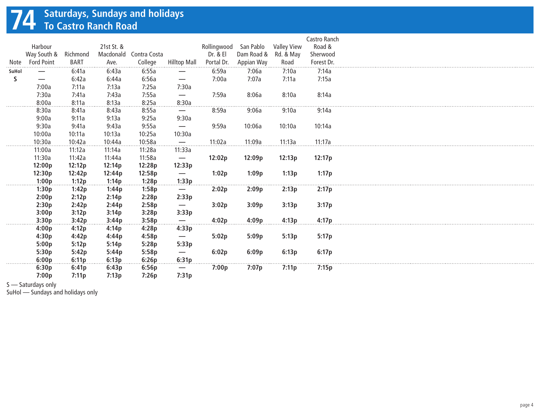## **74 Saturdays, Sundays and holidays To Castro Ranch Road**

|       |                                 |             |            |              |                                |             |            |                    | Castro Ranch |
|-------|---------------------------------|-------------|------------|--------------|--------------------------------|-------------|------------|--------------------|--------------|
|       | Harbour                         |             | 21st St. & |              |                                | Rollingwood | San Pablo  | <b>Valley View</b> | Road &       |
|       | Way South &                     | Richmond    | Macdonald  | Contra Costa |                                | Dr. & El    | Dam Road & | Rd. & May          | Sherwood     |
| Note  | <b>Ford Point</b>               | <b>BART</b> | Ave.       | College      | <b>Hilltop Mall</b>            | Portal Dr.  | Appian Way | Road               | Forest Dr.   |
| SuHol |                                 | 6:41a       | 6:43a      | 6:55a        | —                              | 6:59a       | 7:06a      | 7:10a              | 7:14a        |
| S     | $\hspace{0.1mm}-\hspace{0.1mm}$ | 6:42a       | 6:44a      | 6:56a        | $\overbrace{\phantom{13333}}$  | 7:00a       | 7:07a      | 7:11a              | 7:15a        |
|       | 7:00a                           | 7:11a       | 7:13a      | 7:25a        | 7:30a                          |             |            |                    |              |
|       | 7:30a                           | 7:41a       | 7:43a      | 7:55a        | $\overbrace{\phantom{13333}}$  | 7:59a       | 8:06a      | 8:10a              | 8:14a        |
|       | 8:00a                           | 8:11a       | 8:13a      | 8:25a        | 8:30a                          |             |            |                    |              |
|       | 8:30a                           | 8:41a       | 8:43a      | 8:55a        | $\overline{\phantom{0}}$       | 8:59a       | 9:06a      | 9:10a              | 9:14a        |
|       | 9:00a                           | 9:11a       | 9:13a      | 9:25a        | 9:30a                          |             |            |                    |              |
|       | 9:30a                           | 9:41a       | 9:43a      | 9:55a        |                                | 9:59a       | 10:06a     | 10:10a             | 10:14a       |
|       | 10:00a                          | 10:11a      | 10:13a     | 10:25a       | 10:30a                         |             |            |                    |              |
|       | 10:30a                          | 10:42a      | 10:44a     | 10:58a       |                                | 11:02a      | 11:09a     | 11:13a             | 11:17a       |
|       | 11:00a                          | 11:12a      | 11:14a     | 11:28a       | 11:33a                         |             |            |                    |              |
|       | 11:30a                          | 11:42a      | 11:44a     | 11:58a       | $\overline{\phantom{m}}$       | 12:02p      | 12:09p     | 12:13p             | 12:17p       |
|       | 12:00p                          | 12:12p      | 12:14p     | 12:28p       | 12:33p                         |             |            |                    |              |
|       | 12:30p                          | 12:42p      | 12:44p     | 12:58p       | $\overbrace{\phantom{13333}}$  | 1:02p       | 1:09p      | 1:13p              | 1:17p        |
|       | 1:00p                           | 1:12p       | 1:14p      | 1:28p        | 1:33p                          |             |            |                    |              |
|       | 1:30p                           | 1:42p       | 1:44p      | 1:58p        | —                              | 2:02p       | 2:09p      | 2:13p              | 2:17p        |
|       | 2:00p                           | 2:12p       | 2:14p      | 2:28p        | 2:33p                          |             |            |                    |              |
|       | 2:30p                           | 2:42p       | 2:44p      | 2:58p        | $\qquad \qquad \longleftarrow$ | 3:02p       | 3:09p      | 3:13p              | 3:17p        |
|       | 3:00p                           | 3:12p       | 3:14p      | 3:28p        | 3:33p                          |             |            |                    |              |
|       | 3:30p                           | 3:42p       | 3:44p      | 3:58p        | $\overline{\phantom{m}}$       | 4:02p       | 4:09p      | 4:13p              | 4:17p        |
|       | 4:00p                           | 4:12p       | 4:14p      | 4:28p        | 4:33p                          |             |            |                    |              |
|       | 4:30p                           | 4:42p       | 4:44p      | 4:58p        | $\overbrace{\phantom{13333}}$  | 5:02p       | 5:09p      | 5:13p              | 5:17p        |
|       | 5:00p                           | 5:12p       | 5:14p      | 5:28p        | 5:33p                          |             |            |                    |              |
|       | 5:30p                           | 5:42p       | 5:44p      | 5:58p        | $\overline{\phantom{0}}$       | 6:02p       | 6:09p      | 6:13p              | 6:17p        |
|       | 6:00p                           | 6:11p       | 6:13p      | 6:26p        | 6:31p                          |             |            |                    |              |
|       | 6:30p                           | 6:41p       | 6:43p      | 6:56p        | $\overline{\phantom{0}}$       | 7:00p       | 7:07p      | 7:11p              | 7:15p        |
|       | 7:00p                           | 7:11p       | 7:13p      | 7:26p        | 7:31p                          |             |            |                    |              |

S — Saturdays only

SuHol — Sundays and holidays only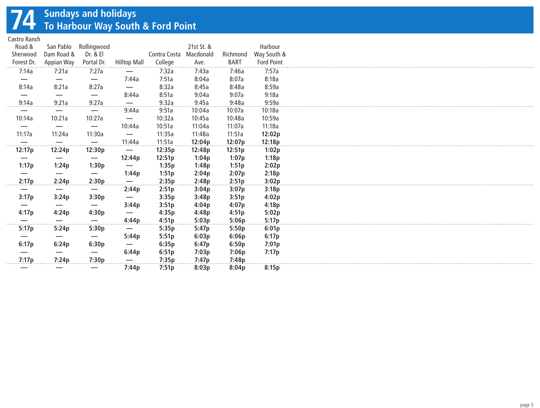## **74 Sundays and holidays To Harbour Way South & Ford Point**

Castro Ranch

| Road &<br>Sherwood<br>Forest Dr. | San Pablo<br>Dam Road &<br>Appian Way | Rollingwood<br>Dr. & El<br>Portal Dr. | <b>Hilltop Mall</b>      | Contra Costa<br>College | 21st St. &<br>Macdonald<br>Ave. | Richmond<br><b>BART</b> | Harbour<br>Way South &<br><b>Ford Point</b> |
|----------------------------------|---------------------------------------|---------------------------------------|--------------------------|-------------------------|---------------------------------|-------------------------|---------------------------------------------|
| 7:14a                            | 7:21a                                 | 7:27a                                 |                          | 7:32a                   | 7:43a                           | 7:46a                   | 7:57a                                       |
|                                  |                                       |                                       | 7:44a                    | 7:51a                   | 8:04a                           | 8:07a                   | 8:18a                                       |
| 8:14a                            | 8:21a                                 | 8:27a                                 | $\overline{\phantom{0}}$ | 8:32a                   | 8:45a                           | 8:48a                   | 8:59a                                       |
|                                  |                                       | —                                     | 8:44a                    | 8:51a                   | 9:04a                           | 9:07a                   | 9:18a                                       |
| 9:14a<br>. <b>.</b>              | 9:21a                                 | 9:27a<br>.                            | .                        | 9:32a                   | 9:45a                           | 9:48a                   | 9:59a                                       |
|                                  | —                                     |                                       | 9:44a                    | 9:51a                   | 10:04a                          | 10:07a                  | 10:18a                                      |
| 10:14a                           | 10:21a                                | 10:27a                                | $\overline{\phantom{m}}$ | 10:32a                  | 10:45a                          | 10:48a                  | 10:59a                                      |
|                                  |                                       |                                       | 10:44a                   | 10:51a                  | 11:04a                          | 11:07a                  | 11:18a                                      |
| 11:17a                           | 11:24a                                | 11:30a                                |                          | 11:35a                  | 11:48a                          | 11:51a                  | 12:02p                                      |
| .                                |                                       |                                       | 11:44a                   | 11:51a                  | 12:04p                          | 12:07p                  | 12:18p                                      |
| 12:17p                           | 12:24p                                | 12:30p                                |                          | 12:35p                  | 12:48p                          | 12:51p                  | 1:02p                                       |
|                                  |                                       |                                       | 12:44p                   | 12:51p                  | 1:04p                           | 1:07p                   | 1:18p                                       |
| 1:17p                            | 1:24p                                 | 1:30p                                 |                          | 1:35p                   | 1:48p                           | 1:51p                   | 2:02p                                       |
|                                  |                                       |                                       | 1:44p                    | 1:51p                   | 2:04p                           | 2:07p                   | 2:18p                                       |
| 2:17p                            | 2:24p                                 | 2:30p                                 |                          | 2:35p                   | 2:48p                           | 2:51p                   | 3:02p                                       |
|                                  |                                       |                                       | 2:44p                    | 2:51p                   | 3:04p                           | 3:07p                   | 3:18p                                       |
| 3:17p                            | 3:24p                                 | 3:30p                                 |                          | 3:35p                   | 3:48p                           | 3:51p                   | 4:02p                                       |
|                                  |                                       |                                       | 3:44p                    | 3:51p                   | 4:04p                           | 4:07p                   | 4:18p                                       |
| 4:17p                            | 4:24p                                 | 4:30p                                 |                          | 4:35p                   | 4:48p                           | 4:51p                   | 5:02p                                       |
| .                                | –<br>.                                | --<br>.                               | 4:44p                    | 4:51p                   | 5:03p                           | 5:06p                   | 5:17p                                       |
| 5:17p                            | 5:24p                                 | 5:30p                                 | $\overline{\phantom{0}}$ | 5:35p                   | 5:47p                           | 5:50p                   | 6:01p                                       |
|                                  |                                       |                                       | 5:44p                    | 5:51p                   | 6:03p                           | 6:06p                   | 6:17p                                       |
| 6:17p                            | 6:24p                                 | 6:30p                                 |                          | 6:35p                   | 6:47p                           | 6:50p                   | 7:01p                                       |
|                                  |                                       |                                       | 6:44p                    | 6:51p                   | 7:03p                           | 7:06p                   | 7:17p                                       |
| 7:17p                            | 7:24p                                 | 7:30p                                 |                          | 7:35p                   | 7:47p                           | 7:48p                   |                                             |
|                                  |                                       |                                       | 7:44p                    | 7:51p                   | 8:03p                           | 8:04p                   | 8:15p                                       |